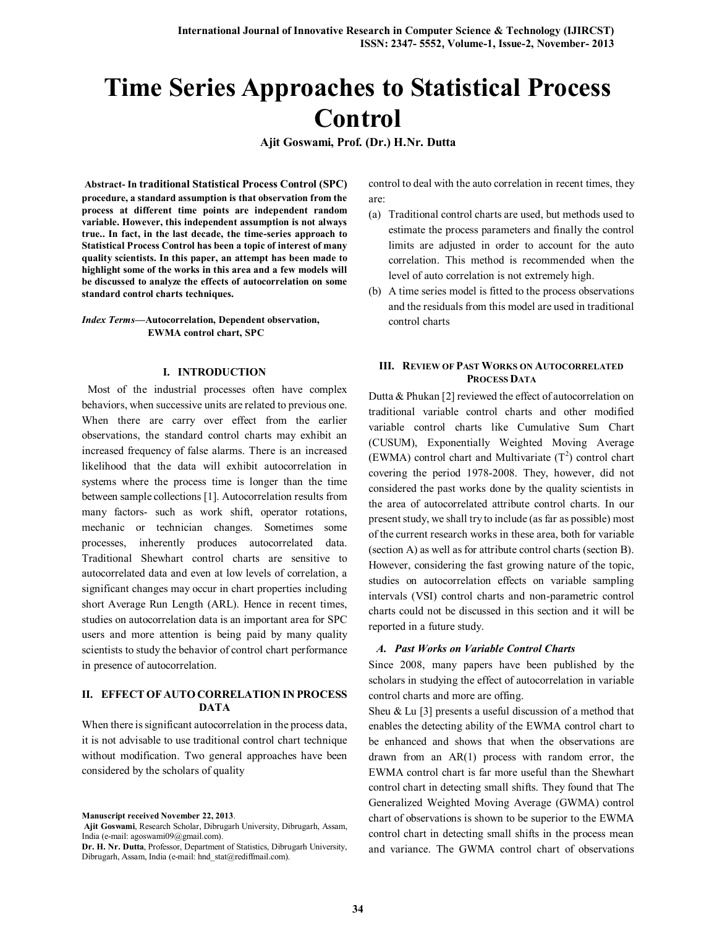# **Time Series Approaches to Statistical Process Control**

**Ajit Goswami, Prof. (Dr.) H.Nr. Dutta**

**Abstract- In traditional Statistical Process Control (SPC) procedure, a standard assumption is that observation from the process at different time points are independent random variable. However, this independent assumption is not always true.. In fact, in the last decade, the time-series approach to Statistical Process Control has been a topic of interest of many quality scientists. In this paper, an attempt has been made to highlight some of the works in this area and a few models will be discussed to analyze the effects of autocorrelation on some standard control charts techniques.**

*Index Terms***—Autocorrelation, Dependent observation, EWMA control chart, SPC**

#### **I. INTRODUCTION**

 Most of the industrial processes often have complex behaviors, when successive units are related to previous one. When there are carry over effect from the earlier observations, the standard control charts may exhibit an increased frequency of false alarms. There is an increased likelihood that the data will exhibit autocorrelation in systems where the process time is longer than the time between sample collections [1]. Autocorrelation results from many factors- such as work shift, operator rotations, mechanic or technician changes. Sometimes some processes, inherently produces autocorrelated data. Traditional Shewhart control charts are sensitive to autocorrelated data and even at low levels of correlation, a significant changes may occur in chart properties including short Average Run Length (ARL). Hence in recent times, studies on autocorrelation data is an important area for SPC users and more attention is being paid by many quality scientists to study the behavior of control chart performance in presence of autocorrelation.

## **II. EFFECT OF AUTO CORRELATION IN PROCESS DATA**

When there is significant autocorrelation in the process data, it is not advisable to use traditional control chart technique without modification. Two general approaches have been considered by the scholars of quality

**Manuscript received November 22, 2013**.

**Ajit Goswami**, Research Scholar, Dibrugarh University, Dibrugarh, Assam, India (e-mail: agoswami09@gmail.com).

control to deal with the auto correlation in recent times, they are:

- (a) Traditional control charts are used, but methods used to estimate the process parameters and finally the control limits are adjusted in order to account for the auto correlation. This method is recommended when the level of auto correlation is not extremely high.
- (b) A time series model is fitted to the process observations and the residuals from this model are used in traditional control charts

# **III. REVIEW OF PAST WORKS ON AUTOCORRELATED PROCESS DATA**

Dutta & Phukan [2] reviewed the effect of autocorrelation on traditional variable control charts and other modified variable control charts like Cumulative Sum Chart (CUSUM), Exponentially Weighted Moving Average (EWMA) control chart and Multivariate  $(T^2)$  control chart covering the period 1978-2008. They, however, did not considered the past works done by the quality scientists in the area of autocorrelated attribute control charts. In our present study, we shall try to include (as far as possible) most of the current research works in these area, both for variable (section A) as well as for attribute control charts (section B). However, considering the fast growing nature of the topic, studies on autocorrelation effects on variable sampling intervals (VSI) control charts and non-parametric control charts could not be discussed in this section and it will be reported in a future study.

# *A. Past Works on Variable Control Charts*

Since 2008, many papers have been published by the scholars in studying the effect of autocorrelation in variable control charts and more are offing.

Sheu & Lu [3] presents a useful discussion of a method that enables the detecting ability of the EWMA control chart to be enhanced and shows that when the observations are drawn from an AR(1) process with random error, the EWMA control chart is far more useful than the Shewhart control chart in detecting small shifts. They found that The Generalized Weighted Moving Average (GWMA) control chart of observations is shown to be superior to the EWMA control chart in detecting small shifts in the process mean and variance. The GWMA control chart of observations

**Dr. H. Nr. Dutta**, Professor, Department of Statistics, Dibrugarh University, Dibrugarh, Assam, India (e-mail: hnd\_stat@rediffmail.com).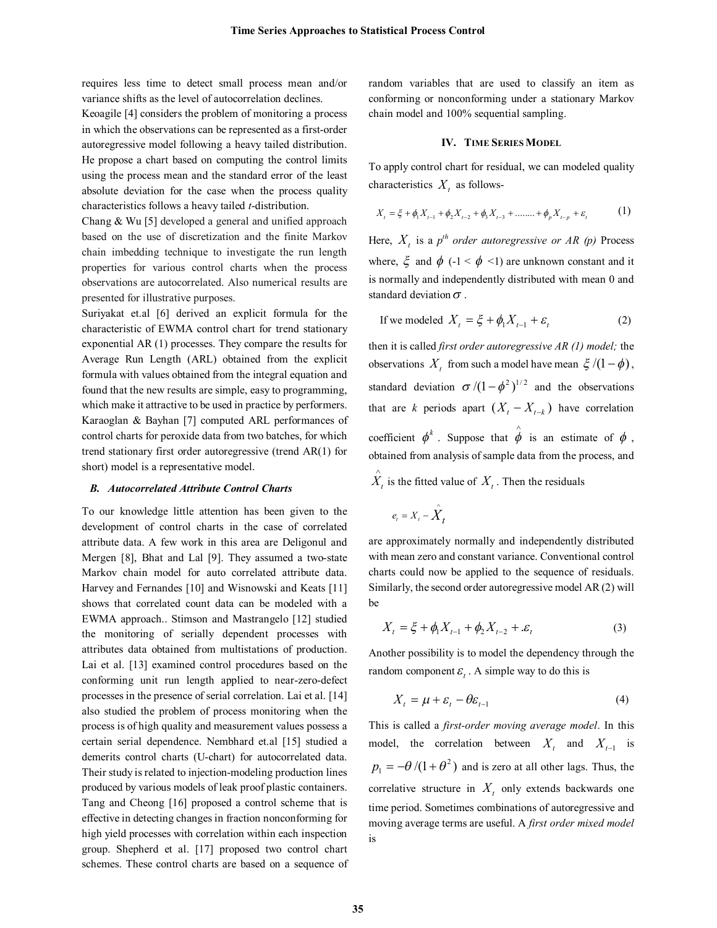requires less time to detect small process mean and/or variance shifts as the level of autocorrelation declines.

Keoagile [4] considers the problem of monitoring a process in which the observations can be represented as a first-order autoregressive model following a heavy tailed distribution. He propose a chart based on computing the control limits using the process mean and the standard error of the least absolute deviation for the case when the process quality characteristics follows a heavy tailed *t*-distribution.

Chang & Wu [5] developed a general and unified approach based on the use of discretization and the finite Markov chain imbedding technique to investigate the run length properties for various control charts when the process observations are autocorrelated. Also numerical results are presented for illustrative purposes.

Suriyakat et.al [6] derived an explicit formula for the characteristic of EWMA control chart for trend stationary exponential AR (1) processes. They compare the results for Average Run Length (ARL) obtained from the explicit formula with values obtained from the integral equation and found that the new results are simple, easy to programming, which make it attractive to be used in practice by performers. Karaoglan & Bayhan [7] computed ARL performances of control charts for peroxide data from two batches, for which trend stationary first order autoregressive (trend AR(1) for short) model is a representative model.

#### *B. Autocorrelated Attribute Control Charts*

To our knowledge little attention has been given to the development of control charts in the case of correlated attribute data. A few work in this area are Deligonul and Mergen [8], Bhat and Lal [9]. They assumed a two-state Markov chain model for auto correlated attribute data. Harvey and Fernandes [10] and Wisnowski and Keats [11] shows that correlated count data can be modeled with a EWMA approach.. Stimson and Mastrangelo [12] studied the monitoring of serially dependent processes with attributes data obtained from multistations of production. Lai et al. [13] examined control procedures based on the conforming unit run length applied to near-zero-defect processes in the presence of serial correlation. Lai et al. [14] also studied the problem of process monitoring when the process is of high quality and measurement values possess a certain serial dependence. Nembhard et.al [15] studied a demerits control charts (U-chart) for autocorrelated data. Their study is related to injection-modeling production lines produced by various models of leak proof plastic containers. Tang and Cheong [16] proposed a control scheme that is effective in detecting changes in fraction nonconforming for high yield processes with correlation within each inspection group. Shepherd et al. [17] proposed two control chart schemes. These control charts are based on a sequence of random variables that are used to classify an item as conforming or nonconforming under a stationary Markov chain model and 100% sequential sampling.

## **IV. TIME SERIES MODEL**

To apply control chart for residual, we can modeled quality characteristics  $X_t$  as follows-

$$
X_{t} = \xi + \phi_{1} X_{t-1} + \phi_{2} X_{t-2} + \phi_{3} X_{t-3} + \dots + \phi_{p} X_{t-p} + \varepsilon_{t}
$$
 (1)

Here,  $X_t$  is a  $p^{th}$  *order autoregressive or AR (p)* Process where,  $\xi$  and  $\phi$  (-1 <  $\phi$  <1) are unknown constant and it is normally and independently distributed with mean 0 and standard deviation  $\sigma$ .

If we modeled 
$$
X_t = \xi + \phi_1 X_{t-1} + \varepsilon_t
$$
 (2)

then it is called *first order autoregressive AR (1) model;* the observations  $X_t$  from such a model have mean  $\xi/(1-\phi)$ , standard deviation  $\sigma/(1 - \phi^2)^{1/2}$  and the observations that are *k* periods apart  $(X_t - X_{t-k})$  have correlation coefficient  $\phi^k$ . Suppose that  $\hat{\phi}$  is an estimate of  $\phi$ , obtained from analysis of sample data from the process, and  $\hat{X}_t$  is the fitted value of  $X_t$ . Then the residuals

$$
e_t = X_t - \overset{\wedge}{X}_t
$$

are approximately normally and independently distributed with mean zero and constant variance. Conventional control charts could now be applied to the sequence of residuals. Similarly, the second order autoregressive model AR (2) will be

$$
X_{t} = \xi + \phi_{1} X_{t-1} + \phi_{2} X_{t-2} + \varepsilon_{t}
$$
 (3)

Another possibility is to model the dependency through the random component  $\varepsilon_t$ . A simple way to do this is

$$
X_t = \mu + \varepsilon_t - \theta \varepsilon_{t-1} \tag{4}
$$

This is called a *first-order moving average model*. In this model, the correlation between  $X_t$  and  $X_{t-1}$  is  $p_1 = -\theta/(1 + \theta^2)$  and is zero at all other lags. Thus, the correlative structure in  $X_t$  only extends backwards one time period. Sometimes combinations of autoregressive and moving average terms are useful. A *first order mixed model* is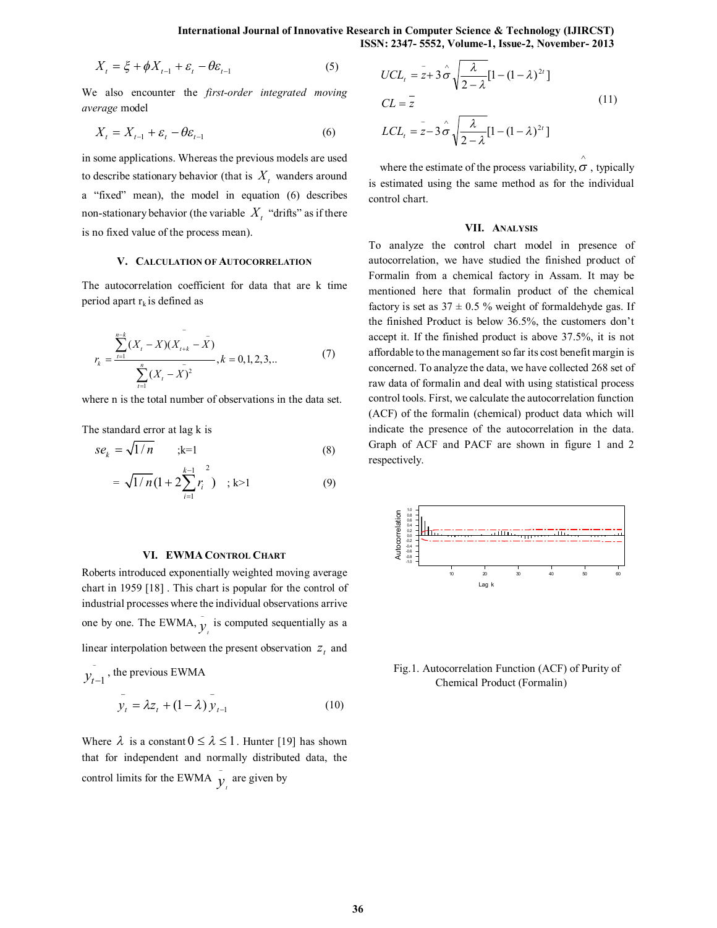$$
X_t = \xi + \phi X_{t-1} + \varepsilon_t - \theta \varepsilon_{t-1}
$$
 (5)

We also encounter the *first-order integrated moving average* model

$$
X_t = X_{t-1} + \varepsilon_t - \theta \varepsilon_{t-1} \tag{6}
$$

in some applications. Whereas the previous models are used to describe stationary behavior (that is  $X_t$  wanders around a "fixed" mean), the model in equation (6) describes non-stationary behavior (the variable  $X_t$  "drifts" as if there is no fixed value of the process mean).

## **V. CALCULATION OF AUTOCORRELATION**

The autocorrelation coefficient for data that are k time period apart  $r_k$  is defined as

$$
r_{k} = \frac{\sum_{t=1}^{n-k} (X_{t} - X)(X_{t+k} - \bar{X})}{\sum_{t=1}^{n} (X_{t} - \bar{X})^{2}}, k = 0, 1, 2, 3, ... \tag{7}
$$

where n is the total number of observations in the data set.

The standard error at lag k is

$$
se_k = \sqrt{1/n} \qquad ; k=1
$$
 (8)

$$
= \sqrt{1/n} \left(1 + 2 \sum_{i=1}^{k-1} r_i^2 \right) \quad ; k > 1 \tag{9}
$$

## **VI. EWMA CONTROL CHART**

Roberts introduced exponentially weighted moving average chart in 1959 [18] . This chart is popular for the control of industrial processes where the individual observations arrive one by one. The EWMA,  $\overline{y}_i$  is computed sequentially as a linear interpolation between the present observation  $z_t$  and

$$
y_{t-1}
$$
, the previous EWMA  

$$
y_t = \lambda z_t + (1 - \lambda) y_{t-1}
$$
 (10)

Where  $\lambda$  is a constant  $0 \leq \lambda \leq 1$ . Hunter [19] has shown that for independent and normally distributed data, the control limits for the EWMA  $\overline{y}_i$  are given by

$$
UCL_{t} = \bar{z} + 3\hat{\sigma}\sqrt{\frac{\lambda}{2 - \lambda}}[1 - (1 - \lambda)^{2t}]
$$
  
\n
$$
CL = \bar{z}
$$
  
\n
$$
LCL_{t} = \bar{z} - 3\hat{\sigma}\sqrt{\frac{\lambda}{2 - \lambda}}[1 - (1 - \lambda)^{2t}]
$$
\n(11)

where the estimate of the process variability,  $\sigma$ , typically is estimated using the same method as for the individual control chart.

#### **VII. ANALYSIS**

To analyze the control chart model in presence of autocorrelation, we have studied the finished product of Formalin from a chemical factory in Assam. It may be mentioned here that formalin product of the chemical factory is set as  $37 \pm 0.5$  % weight of formaldehyde gas. If the finished Product is below 36.5%, the customers don't accept it. If the finished product is above 37.5%, it is not affordable to the management so far its cost benefit margin is concerned. To analyze the data, we have collected 268 set of raw data of formalin and deal with using statistical process control tools. First, we calculate the autocorrelation function (ACF) of the formalin (chemical) product data which will indicate the presence of the autocorrelation in the data. Graph of ACF and PACF are shown in figure 1 and 2 respectively.



Fig.1. Autocorrelation Function (ACF) of Purity of Chemical Product (Formalin)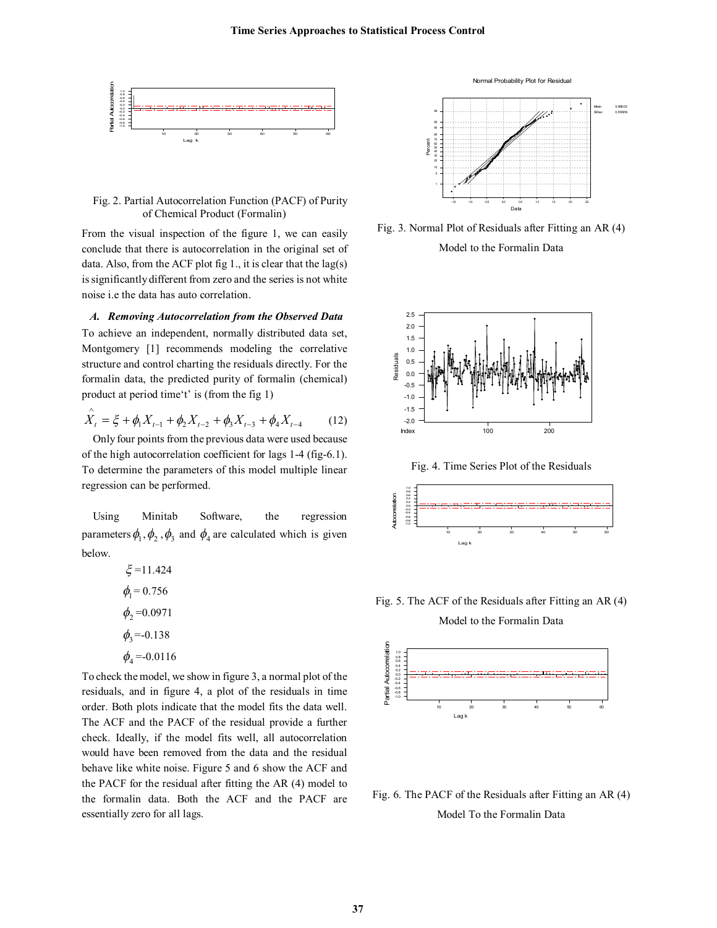

Fig. 2. Partial Autocorrelation Function (PACF) of Purity of Chemical Product (Formalin)

From the visual inspection of the figure 1, we can easily conclude that there is autocorrelation in the original set of data. Also, from the ACF plot fig  $1$ ., it is clear that the lag(s) is significantly different from zero and the series is not white noise i.e the data has auto correlation.

*A. Removing Autocorrelation from the Observed Data*

To achieve an independent, normally distributed data set, Montgomery [1] recommends modeling the correlative structure and control charting the residuals directly. For the formalin data, the predicted purity of formalin (chemical) product at period time't' is (from the fig 1)

$$
\hat{X}_t = \xi + \phi_1 X_{t-1} + \phi_2 X_{t-2} + \phi_3 X_{t-3} + \phi_4 X_{t-4}
$$
 (12)

Only four points from the previous data were used because of the high autocorrelation coefficient for lags 1-4 (fig-6.1). To determine the parameters of this model multiple linear regression can be performed.

Using Minitab Software, the regression parameters  $\phi_1$ ,  $\phi_2$ ,  $\phi_3$  and  $\phi_4$  are calculated which is given below.

$$
\xi = 11.424
$$
  
\n
$$
\phi_1 = 0.756
$$
  
\n
$$
\phi_2 = 0.0971
$$
  
\n
$$
\phi_3 = -0.138
$$
  
\n
$$
\phi_4 = -0.0116
$$

To check the model, we show in figure 3, a normal plot of the residuals, and in figure 4, a plot of the residuals in time order. Both plots indicate that the model fits the data well. The ACF and the PACF of the residual provide a further check. Ideally, if the model fits well, all autocorrelation would have been removed from the data and the residual behave like white noise. Figure 5 and 6 show the ACF and the PACF for the residual after fitting the AR (4) model to the formalin data. Both the ACF and the PACF are essentially zero for all lags.



Fig. 3. Normal Plot of Residuals after Fitting an AR (4) Model to the Formalin Data



Fig. 4. Time Series Plot of the Residuals



Fig. 5. The ACF of the Residuals after Fitting an AR (4) Model to the Formalin Data



Fig. 6. The PACF of the Residuals after Fitting an AR (4) Model To the Formalin Data